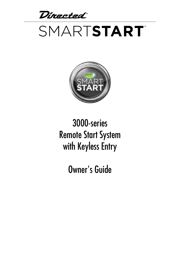Directed

# SMARTSTART®



### 3000-series Remote Start System with Keyless Entry

Owner's Guide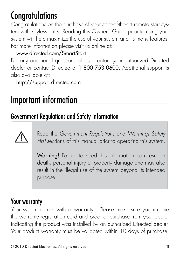# Congratulations

Congratulations on the purchase of your state-of-the-art remote start system with keyless entry. Reading this Owner's Guide prior to using your system will help maximize the use of your system and its many features. For more information please visit us online at:

#### www.directed.com/SmartStart

For any additional questions please contact your authorized Directed dealer or contact Directed at 1-800-753-0600. Additional support is also available at:

http://support.directed.com

### Important information

### Government Regulations and Safety information

Read the *Government Regulations* and *Warning! Safety First* sections of this manual prior to operating this system.

Warning! Failure to heed this information can result in death, personal injury or property damage and may also result in the illegal use of the system beyond its intended purpose.

### Your warranty

Your system comes with a warranty. Please make sure you receive the warranty registration card and proof of purchase from your dealer indicating the product was installed by an authorized Directed dealer. Your product warranty must be validated within 10 days of purchase.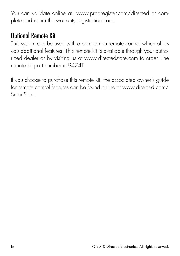You can validate online at: www.prodregister.com/directed or complete and return the warranty registration card.

### Optional Remote Kit

This system can be used with a companion remote control which offers you additional features. This remote kit is available through your authorized dealer or by visiting us at www.directedstore.com to order. The remote kit part number is 9474T.

If you choose to purchase this remote kit, the associated owner's guide for remote control features can be found online at www.directed.com/ SmartStart.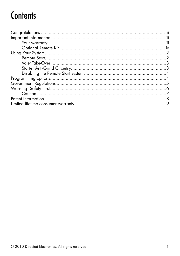## **Contents**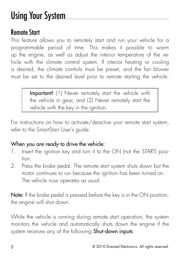# Using Your System

### Remote Start

This feature allows you to remotely start and run your vehicle for a programmable period of time. This makes it possible to warm up the engine, as well as adjust the interior temperature of the vehicle with the climate control system. If interior heating or cooling is desired, the climate controls must be preset, and the fan blower must be set to the desired level prior to remote starting the vehicle.

> Important! (1) Never remotely start the vehicle with the vehicle in gear, and (2) Never remotely start the vehicle with the key in the ignition.

For instructions on how to activate/deactive your remote start system, refer to the SmartStart User's guide.

#### When you are ready to drive the vehicle:

- 1. Insert the ignition key and turn it to the ON (not the START) position.
- 2. Press the brake pedal. The remote start system shuts down but the motor continues to run because the ignition has been turned on. The vehicle now operates as usual.

Note: If the brake pedal is pressed before the key is in the ON position, the engine will shut down.

While the vehicle is running during remote start operation, the system monitors the vehicle and automatically shuts down the engine if the system receives any of the following **Shut-down inputs**: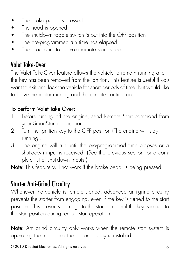- The brake pedal is pressed.
- The hood is opened.
- The shutdown toggle switch is put into the OFF position
- The pre-programmed run time has elapsed.
- The procedure to activate remote start is repeated.

### Valet Take-Over

The Valet Take-Over feature allows the vehicle to remain running after the key has been removed from the ignition. This feature is useful if you want to exit and lock the vehicle for short periods of time, but would like to leave the motor running and the climate controls on.

#### To perform Valet Take-Over:

- 1. Before turning off the engine, send Remote Start command from your SmartStart application.
- 2. Turn the ignition key to the OFF position (The engine will stay running).
- 3. The engine will run until the pre-programmed time elapses or a shut-down input is received. (See the previous section for a complete list of shut-down inputs.)

Note: This feature will not work if the brake pedal is being pressed.

### Starter Anti-Grind Circuitry

Whenever the vehicle is remote started, advanced anti-grind circuitry prevents the starter from engaging, even if the key is turned to the start position. This prevents damage to the starter motor if the key is turned to the start position during remote start operation.

Note: Anti-grind circuitry only works when the remote start system is operating the motor and the optional relay is installed.

© 2010 Directed Electronics. All rights reserved. 3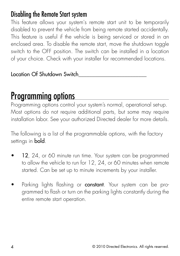### Disabling the Remote Start system

This feature allows your system's remote start unit to be temporarily disabled to prevent the vehicle from being remote started accidentally. This feature is useful if the vehicle is being serviced or stored in an enclosed area. To disable the remote start, move the shutdown toggle switch to the OFF position. The switch can be installed in a location of your choice. Check with your installer for recommended locations.

Location Of Shutdown Switch\_\_\_\_\_\_\_\_\_\_\_\_\_\_\_\_\_\_\_\_\_\_\_\_\_

### Programming options

Programming options control your system's normal, operational set-up. Most options do not require additional parts, but some may require installation labor. See your authorized Directed dealer for more details.

The following is a list of the programmable options, with the factory settings in **bold**.

- 12, 24, or 60 minute run time. Your system can be programmed to allow the vehicle to run for 12, 24, or 60 minutes when remote started. Can be set up to minute increments by your installer.
- Parking lights flashing or **constant**. Your system can be programmed to flash or turn on the parking lights constantly during the entire remote start operation.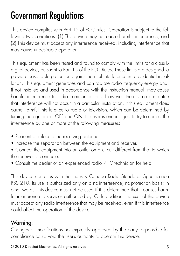# Government Regulations

This device complies with Part 15 of FCC rules. Operation is subject to the following two conditions: (1) This device may not cause harmful interference, and (2) This device must accept any interference received, including interference that may cause undesirable operation.

This equipment has been tested and found to comply with the limits for a class B digital device, pursuant to Part 15 of the FCC Rules. These limits are designed to provide reasonable protection against harmful interference in a residential installation. This equipment generates and can radiate radio frequency energy and, if not installed and used in accordance with the instruction manual, may cause harmful interference to radio communications. However, there is no guarantee that interference will not occur in a particular installation. If this equipment does cause harmful interference to radio or television, which can be determined by turning the equipment OFF and ON, the user is encouraged to try to correct the interference by one or more of the following measures:

- Reorient or relocate the receiving antenna.
- Increase the separation between the equipment and receiver.
- Connect the equipment into an outlet on a circuit different from that to which the receiver is connected.
- Consult the dealer or an experienced radio / TV technician for help.

This device complies with the Industry Canada Radio Standards Specification RSS 210. Its use is authorized only on a no-interference, no-protection basis; in other words, this device must not be used if it is determined that it causes harmful interference to services authorized by IC. In addition, the user of this device must accept any radio interference that may be received, even if this interference could affect the operation of the device.

#### Warning:

Changes or modifications not expressly approved by the party responsible for compliance could void the user's authority to operate this device.

© 2010 Directed Electronics. All rights reserved. 5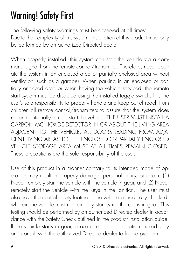# Warning! Safety First

The following safety warnings must be observed at all times: Due to the complexity of this system, installation of this product must only be performed by an authorized Directed dealer.

When properly installed, this system can start the vehicle via a command signal from the remote control/transmitter. Therefore, never operate the system in an enclosed area or partially enclosed area without ventilation (such as a garage). When parking in an enclosed or partially enclosed area or when having the vehicle serviced, the remote start system must be disabled using the installed toggle switch. It is the user's sole responsibility to properly handle and keep out of reach from children all remote control/transmitters to assure that the system does not unintentionally remote start the vehicle. THE USER MUST INSTALL A CARBON MONOXIDE DETECTOR IN OR ABOUT THE LIVING AREA ADJACENT TO THE VEHICLE. ALL DOORS LEADING FROM ADJA-CENT LIVING AREAS TO THE ENCLOSED OR PARTIALLY ENCLOSED VEHICLE STORAGE AREA MUST AT ALL TIMES REMAIN CLOSED. These precautions are the sole responsibility of the user.

Use of this product in a manner contrary to its intended mode of operation may result in property damage, personal injury, or death. (1) Never remotely start the vehicle with the vehicle in gear, and (2) Never remotely start the vehicle with the keys in the ignition. The user must also have the neutral safety feature of the vehicle periodically checked, wherein the vehicle must not remotely start while the car is in gear. This testing should be performed by an authorized Directed dealer in accordance with the Safety Check outlined in the product installation guide. If the vehicle starts in gear, cease remote start operation immediately and consult with the authorized Directed dealer to fix the problem.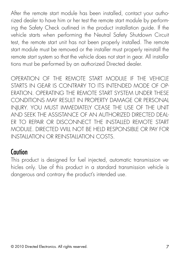After the remote start module has been installed, contact your authorized dealer to have him or her test the remote start module by performing the Safety Check outlined in the product installation guide. If the vehicle starts when performing the Neutral Safety Shutdown Circuit test, the remote start unit has not been properly installed. The remote start module must be removed or the installer must properly reinstall the remote start system so that the vehicle does not start in gear. All installations must be performed by an authorized Directed dealer.

OPERATION OF THE REMOTE START MODULE IF THE VEHICLE STARTS IN GEAR IS CONTRARY TO ITS INTENDED MODE OF OP-ERATION. OPERATING THE REMOTE START SYSTEM UNDER THESE CONDITIONS MAY RESULT IN PROPERTY DAMAGE OR PERSONAL INJURY. YOU MUST IMMEDIATELY CEASE THE USE OF THE UNIT AND SEEK THE ASSISTANCE OF AN AUTHORIZED Directed DEAL-ER TO REPAIR OR DISCONNECT THE INSTALLED REMOTE START MODULE. DIRECTED WILL NOT BE HELD RESPONSIBLE OR PAY FOR INSTALLATION OR REINSTALLATION COSTS.

#### **Caution**

This product is designed for fuel injected, automatic transmission vehicles only. Use of this product in a standard transmission vehicle is dangerous and contrary the product's intended use.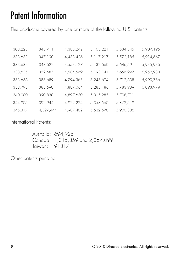# Patent Information

This product is covered by one or more of the following U.S. patents:

| 303,223 | 345,711   | 4,383,242 | 5,103,221 | 5,534,845 | 5,907,195 |
|---------|-----------|-----------|-----------|-----------|-----------|
| 333,633 | 347,190   | 4,438,426 | 5,117,217 | 5,572,185 | 5,914,667 |
| 333,634 | 348,622   | 4,553,127 | 5,132,660 | 5,646,591 | 5,945,936 |
| 333,635 | 352,685   | 4,584,569 | 5,193,141 | 5,656,997 | 5,952,933 |
| 333,636 | 383,689   | 4,794,368 | 5,245,694 | 5,712,638 | 5,990,786 |
| 333,795 | 383,690   | 4,887,064 | 5,285,186 | 5,783,989 | 6,093,979 |
| 340,000 | 390,830   | 4,897,630 | 5,315,285 | 5,798,711 |           |
| 344,905 | 392,944   | 4,922,224 | 5,357,560 | 5,872,519 |           |
| 345,317 | 4,327,444 | 4,987,402 | 5,532,670 | 5,900,806 |           |

International Patents:

Australia: 694,925 Canada: 1,315,859 and 2,067,099 Taiwan: 91817

Other patents pending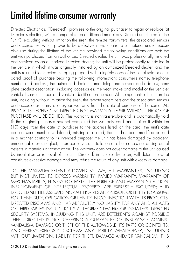# Limited lifetime consumer warranty

Directed Electronics. ("Directed") promises to the original purchaser to repair or replace (at Directed's election) with a comparable reconditioned model any Directed unit (hereafter the "unit"), excluding without limitation the siren, the remote transmitters, the associated sensors and accessories, which proves to be defective in workmanship or material under reasonable use during the lifetime of the vehicle provided the following conditions are met: the unit was purchased from an authorized Directed dealer, the unit was professionally installed and serviced by an authorized Directed dealer; the unit will be professionally reinstalled in the vehicle in which it was originally installed by an authorized Directed dealer; and the unit is returned to Directed, shipping prepaid with a legible copy of the bill of sale or other dated proof of purchase bearing the following information: consumer's name, telephone number and address; the authorized dealers name, telephone number and address; complete product description, including accessories; the year, make and model of the vehicle; vehicle license number and vehicle identification number. All components other than the unit, including without limitation the siren, the remote transmitters and the associated sensors and accessories, carry a one-year warranty from the date of purchase of the same. ALL PRODUCTS RECEIVED BY DIRECTED FOR WARRANTY REPAIR WITHOUT PROOF OF PURCHASE WILL BE DENIED. This warranty is non-transferable and is automatically void if: the original purchaser has not completed the warranty card and mailed it within ten (10) days from the date of purchase to the address listed on the card; the unit's date code or serial number is defaced, missing or altered; the unit has been modified or used in a manner contrary to its intended purpose; the unit has been damaged by accident, unreasonable use, neglect, improper service, installation or other causes not arising out of defects in materials or construction. The warranty does not cover damage to the unit caused by installation or removal of the unit. Directed, in its sole discretion, will determine what constitutes excessive damage and may refuse the return of any unit with excessive damage.

TO THE MAXIMUM EXTENT ALLOWED BY LAW, ALL WARRANTIES, INCLUDING BUT NOT LIMITED TO EXPRESS WARRANTY, IMPLIED WARRANTY, WARRANTY OF MERCHANTABILITY, FITNESS FOR PARTICULAR PURPOSE AND WARRANTY OF NON-INFRINGEMENT OF INTELLECTUAL PROPERTY, ARE EXPRESSLY EXCLUDED; AND DIRECTED NEITHER ASSUMES NOR AUTHORIZES ANY PERSON OR ENTITY TO ASSUME FOR IT ANY DUTY, OBLIGATION OR LIABILITY IN CONNECTION WITH ITS PRODUCTS. DIRECTED DISCLAIMS AND HAS ABSOLUTELY NO ITABILITY FOR ANY AND ALL ACTS OF THIRD PARTIES INCLUDING ITS AUTHORIZED DEALERS OR INSTALLERS. DIRECTED SECURITY SYSTEMS, INCLUDING THIS UNIT, ARE DETERRENTS AGAINST POSSIBLE THEFT. DIRECTED IS NOT OFFERING A GUARANTEE OR INSURANCE AGAINST VANDALISM, DAMAGE OR THEFT OF THE AUTOMOBILE, ITS PARTS OR CONTENTS; AND HEREBY EXPRESSLY DISCLAIMS ANY LIABILITY WHATSOEVER, INCLUDING WITHOUT LIMITATION, LIABILITY FOR THEFT, DAMAGE AND/OR VANDALISM. THIS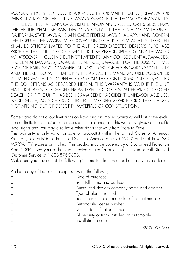WARRANTY DOES NOT COVER LABOR COSTS FOR MAINTENANCE, REMOVAL OR REINSTALLATION OF THE UNIT OR ANY CONSEQUENTIAL DAMAGES OF ANY KIND. IN THE EVENT OF A CLAIM OR A DISPUTE INVOLVING DIRECTED OR ITS SUBSIDIARY, THE VENUE SHALL BE SAN DIEGO COUNTY IN THE STATE OF CALIFORNIA. CALIFORNIA STATE LAWS AND APPLICABLE FEDERAL LAWS SHALL APPLY AND GOVERN THE DISPUTE. THE MAXIMUM RECOVERY UNDER ANY CLAIM AGAINST DIRECTED SHALL BE STRICTLY LIMITED TO THE AUTHORIZED DIRECTED DEALER'S PURCHASE PRICE OF THE UNIT. DIRECTED SHALL NOT BE RESPONSIBLE FOR ANY DAMAGES WHATSOEVER, INCLUDING BUT NOT LIMITED TO, ANY CONSEQUENTIAL DAMAGES, INCIDENTAL DAMAGES, DAMAGE TO VEHICLE, DAMAGES FOR THE LOSS OF TIME, LOSS OF EARNINGS, COMMERCIAL LOSS, LOSS OF ECONOMIC OPPORTUNITY AND THE LIKE. NOTWITHSTANDING THE ABOVE, THE MANUFACTURER DOES OFFER A LIMITED WARRANTY TO REPLACE OR REPAIR THE CONTROL MODULE SUBJECT TO THE CONDITIONS AS DESCRIBED HEREIN. THIS WARRANTY IS VOID IF THE UNIT HAS NOT BEEN PURCHASED FROM DIRECTED, OR AN AUTHORIZED DIRECTED DEALER, OR IF THE UNIT HAS BEEN DAMAGED BY ACCIDENT, UNREASONABLE USE, NEGLIGENCE, ACTS OF GOD, NEGLECT, IMPROPER SERVICE, OR OTHER CAUSES NOT ARISING OUT OF DEFECT IN MATERIALS OR CONSTRUCTION.

Some states do not allow limitations on how long an implied warranty will last or the exclusion or limitation of incidental or consequential damages. This warranty gives you specific legal rights and you may also have other rights that vary from State to State.

This warranty is only valid for sale of product(s) within the United States of America. Product(s) sold outside of the United States of America are sold "AS-IS" and shall have NO WARRANTY, express or implied. This product may be covered by a Guaranteed Protection Plan ("GPP"). See your authorized Directed dealer for details of the plan or call Directed Customer Service at 1-800-876-0800.

Make sure you have all of the following information from your authorized Directed dealer:

A clear copy of the sales receipt, showing the following:

| $\Omega$ | Date of purchase                              |
|----------|-----------------------------------------------|
| $\Omega$ | Your full name and address                    |
| $\Omega$ | Authorized dealer's company name and address  |
| $\Omega$ | Type of alarm installed                       |
| $\circ$  | Year, make, model and color of the automobile |
| $\circ$  | Automobile license number                     |
| $\circ$  | Vehicle identification number                 |
| $\circ$  | All security options installed on automobile  |
| $\Omega$ | Installation receipts                         |
|          |                                               |

920-0003 06-06